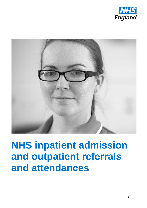



# **NHS inpatient admission and outpatient referrals and attendances**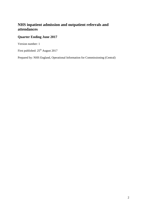# **NHS inpatient admission and outpatient referrals and attendances**

## **Quarter Ending June 2017**

Version number: 1

First published:  $25<sup>th</sup>$  August 2017

Prepared by: NHS England, Operational Information for Commissioning (Central)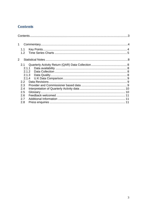# <span id="page-2-0"></span>**Contents**

| 1              |               |  |
|----------------|---------------|--|
|                | 1.1           |  |
|                | 1.2           |  |
| $\overline{2}$ |               |  |
|                | 2.1           |  |
|                | 2.1.1         |  |
|                |               |  |
|                |               |  |
|                |               |  |
|                | $2.2^{\circ}$ |  |
|                | 2.3           |  |
|                | 2.4           |  |
|                | 2.5           |  |
|                | 2.6           |  |
|                | 2.7           |  |
|                | 2.8           |  |
|                |               |  |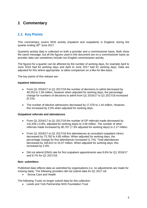# <span id="page-3-0"></span>**1 Commentary**

## <span id="page-3-1"></span>**1.1 Key Points**

This commentary covers NHS activity (inpatient and outpatient) in England, during the quarter ending 30<sup>th</sup> June 2017.

Quarterly activity data is collected on both a provider and a commissioner basis. Both show the same message, but all the figures used in this document are on a commissioner basis as provider data can sometimes include non-English commissioner activity.

The figures for a quarter can be affected by the number of working days, for example April to June 2016 had 63 working days and April to June 2017 had 61 working days. Data are adjusted for this where appropriate, to allow comparison on a like-for-like basis.

The key points of this release are:

#### **Inpatient Admissions**

- From Q1 2016/17 to Q1 2017/18 the number of decisions to admit decreased by 49,252 to 1.56 million, however when adjusted for working days, the percentage change for numbers of decisions to admit from Q1 2016/17 to Q1 2017/18 increased  $(0.1\%)$ .
- The number of elective admissions decreased by 17,576 to 1.44 million. However, this increased by 2.0% when adjusted for working days.

#### **Outpatient referrals and attendances**

- From Q1 2016/17 to Q1 2017/18 the number of GP referrals made decreased by 141,635 (-0.8%, adjusted for working days) to 3.48 million. The number of other referrals made increased by 80,767 (7.3% adjusted for working days) to 2.17 million.
- From Q1 2016/17 to Q1 2017/18 first attendances at consultant outpatient clinics decreased by 73,782 to 4.85 million. When adjusted for working days, the percentage change for first attendances increased (1.7%). Total attendances decreased by 183,812 to 15.07 million. When adjusted for working days, this increased by 2.0%.
- Did not attend (DNA) rate for first outpatient appointments was 8.6% for Q1 2016/17 and 8.7% for Q1 2017/18.

## **Non- submitters**

Published data reflects data as submitted by organisations (i.e. no adjustments are made for missing data). The following providers did not submit data for Q1 2017-18:

Sirona Care and Health

The following Trusts no longer submit data for this collection:

Leeds and York Partnership NHS Foundation Trust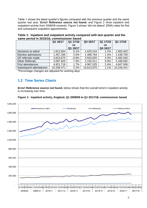Table 1 shows the latest quarter's figures compared with the previous quarter and the same quarter last year. **Error! Reference source not found.** and Figure 2 show inpatient and outpatient activity from 2008/09 onwards. Figure 3 shows 'did not attend' (DNA) rates for first and subsequent outpatient appointments.

|                          | Q1 16/17   | Q1 17/18  | Q4 16/17   | Q1 17/18  | Q1 17/18   |
|--------------------------|------------|-----------|------------|-----------|------------|
|                          |            | <b>VS</b> |            | <b>VS</b> |            |
|                          |            | Q1 16/17  |            | Q4 16/17  |            |
| Decisions to admit       | 1,612,654  | 0.1%      | 1,620,516  | 1.2%      | 1,563,402  |
| Elective admissions      | 1,457,335  | 2.0%      | 1,489,764  | 1.4%      | 1,439,759  |
| GP referrals made        | 3,623,675  | $-0.8%$   | 3,503,925  | 4.3%      | 3,482,040  |
| <b>Other Referrals</b>   | 2,087,825  | 7.3%      | 2,150,011  | 5.8%      | 2,168,592  |
| <b>First attendances</b> | 4,921,718  | 1.7%      | 4,967,025  | 2.4%      | 4,847,936  |
| Subsequent attendances   | 10,336,471 | 2.2%      | 10,613,975 | 1.1%      | 10,226,441 |
|                          | .          |           |            |           |            |

**Table 1: Inpatient and outpatient activity compared with last quarter and the same period in 2015/16, commissioner based**

\*Percentage changes are adjusted for working days

## <span id="page-4-0"></span>**1.2 Time Series Charts**

**Error! Reference source not found.** below shows that the overall trend in inpatient activity is increasing over time.



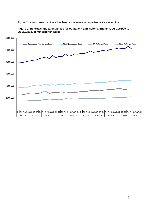Figure 2 below shows that there has been an increase in outpatient activity over time.



## **Figure 2: Referrals and attendances for outpatient admissions, England, Q1 2008/09 to Q1 2017/18, commissioner based**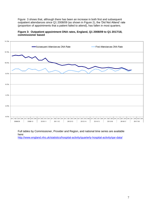[Figure](#page-6-0) 3 shows that, although there has been an increase in both first and subsequent outpatient attendances since Q1 2008/09 (as shown in Figure 2), the 'Did Not Attend' rate (proportion of appointments that a patient failed to attend), has fallen in most quarters.

<span id="page-6-0"></span>



Full tables by Commissioner, Provider and Region, and national time series are available here: <http://www.england.nhs.uk/statistics/hospital-activity/quarterly-hospital-activity/qar-data/>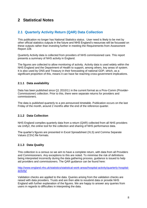## <span id="page-7-0"></span>**2 Statistical Notes**

## <span id="page-7-1"></span>**2.1 Quarterly Activity Return (QAR) Data Collection**

This publication no longer has National Statistics status. User need is likely to be met by other official statistics outputs in the future and NHS England's resources will be focussed on these outputs rather than investing further in meeting the Requirements from Assessment Report 228.

Quarterly Activity data is collected from providers of NHS commissioned care. This report presents a summary of NHS activity in England.

The figures are collected to allow monitoring of activity. Activity data is used widely within the NHS England and the Department of Health to support, among others, key areas of system. It is also used by ONS and Treasury in their forecasting of national GDP, which, as a significant proportion of this, means it can have far-reaching cross-government implications.

## <span id="page-7-2"></span>**2.1.1 Data availability**

Data has been published since Q1 2010/11 in the current format as a Prov-Comm (Provider-Commissioner) collection. Prior to this, there were separate returns for providers and commissioners.

The data is published quarterly to a pre-announced timetable. Publication occurs on the last Friday of the month, around 2 months after the end of the reference quarter.

## <span id="page-7-3"></span>**2.1.2 Data Collection**

NHS England compiles quarterly data from a return (QAR) collected from all NHS providers via Unify2, the online tool for the collection and sharing of NHS performance data.

The quarter's figures are presented in Excel Spreadsheet (XLS) and Comma Separate Values (CSV) file formats.

## <span id="page-7-4"></span>**2.1.3 Data Quality**

This collection is a census so we aim to have a complete return, with data from all Providers and Commissioners. Any exceptions to this are noted. To minimise the risk of definitions being interpreted incorrectly during the data gathering process, guidance is issued to help aid providers and commissioners. The QAR guidance can be found here:

[http://www.england.nhs.uk/statistics/statistical-work-areas/hospital-activity/quarterly-hospital](http://www.england.nhs.uk/statistics/statistical-work-areas/hospital-activity/quarterly-hospital-activity/)[activity/](http://www.england.nhs.uk/statistics/statistical-work-areas/hospital-activity/quarterly-hospital-activity/)

Validation checks are applied to the data. Queries arising from the validation checks are raised with data providers. Trusts and are then able to resubmit data or provide NHS England with further explanation of the figures. We are happy to answer any queries from users in regards to difficulties in interpreting the data.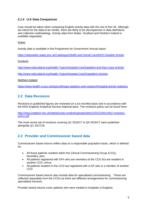## <span id="page-8-0"></span>**2.1.4 U.K Data Comparison**

Care should be taken when comparing English activity data with the rest of the UK. Although we intend for the data to be similar, there are likely to be discrepancies in data definitions and collection methodology. Activity data from Wales, Scotland and Northern Ireland is available separately.

## Wales

Activity data is available in the Programme for Government Annual report:

<https://statswales.wales.gov.uk/Catalogue/Health-and-Social-Care/NHS-Hospital-Activity>

**Scotland** 

<http://www.isdscotland.org/Health-Topics/Hospital-Care/Inpatient-and-Day-Case-Activity/>

<http://www.isdscotland.org/Health-Topics/Hospital-Care/Outpatient-Activity/>

#### Northern Ireland

<https://www.health-ni.gov.uk/topics/dhssps-statistics-and-research/hospital-activity-statistics>

## <span id="page-8-1"></span>**2.2 Data Revisions**

Revisions to published figures are reviewed on a six-monthly basis and in accordance with the NHS England Analytical Service National team. The revisions policy can be found here:

[http://www.england.nhs.uk/statistics/wp-content/uploads/sites/2/2012/04/Unify2-revisions](http://www.england.nhs.uk/statistics/wp-content/uploads/sites/2/2012/04/Unify2-revisions-policy.pdf)[policy.pdf](http://www.england.nhs.uk/statistics/wp-content/uploads/sites/2/2012/04/Unify2-revisions-policy.pdf)

The most recent set of revisions covering Q1 2016/17 to Q4 2016/17 were published alongside Q1 2017/18.

## <span id="page-8-2"></span>**2.3 Provider and Commissioner based data**

Commissioner based returns reflect data on a responsible population basis, which is defined as:

- All those patients resident within the Clinical Commissioning Group (CCG), boundary; plus
- All patients registered with GPs who are members of the CCG but are resident in another CCG; minus
- All patients resident in the CCG but registered with a GP who is a member of another CCG

Commissioner based returns also include data for specialised commissioning. These are collected separately from the CCGs as there are different arrangements for commissioning specialised services.

Provider based returns cover patients who were treated in hospitals in England.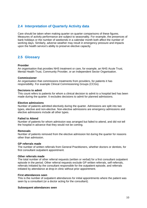## <span id="page-9-0"></span>**2.4 Interpretation of Quarterly Activity data**

Care should be taken when making quarter on quarter comparisons of these figures. Measures of activity performance are subject to seasonality. For example, the presences of bank holidays or the number of weekends in a calendar month both affect the number of working days. Similarly, adverse weather may result in emergency pressure and impacts upon the health service's ability to preserve elective capacity.

## <span id="page-9-1"></span>**2.5 Glossary**

#### **Provider**

An organisation that provides NHS treatment or care, for example, an NHS Acute Trust, Mental Health Trust, Community Provider, or an Independent Sector Organisation.

#### **Commissioner**

An organisation that commissions treatments from providers, for patients it has responsibility. For example Clinical Commissioning Groups (CCGs).

#### **Decisions to admit**

This count refers to patients for whom a clinical decision to admit to a hospital bed has been made during the quarter. It excludes decisions to admit for planned admissions.

#### **Elective admissions**

Number of patients admitted electively during the quarter. Admissions are split into two types, elective and non-elective. Non-elective admissions are emergency admissions and elective admissions include all other types.

#### **Failed to Attend**

Number of patients for whom admission was arranged but failed to attend, and did not tell the hospital in advance that they would not be coming.

#### **Removals**

Number of patients removed from the elective admission list during the quarter for reasons other than admission.

#### **GP referrals made**

The number of written referrals from General Practitioners, whether doctors or dentists, for first consultant outpatient appointment.

#### **Other referrals made**

The total number of other referral requests (written or verbal) for a first consultant outpatient episode in the period. Other referral requests exclude GP written referrals, self-referrals, referrals Initiated by the consultant responsible for the outpatient episode, and referrals initiated by attendance at drop-in clinic without prior appointment.

#### **First attendances seen**

This is the number of outpatient attendances for initial appointments where the patient was seen by a consultant (or a doctor acting for the consultant).

#### **Subsequent attendances seen**